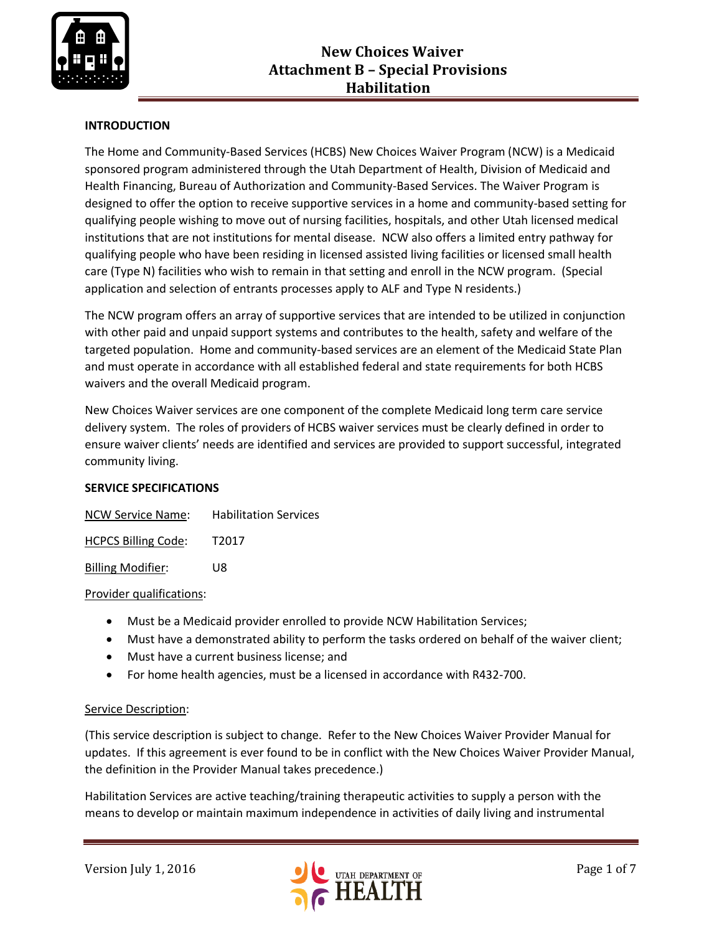

# **INTRODUCTION**

The Home and Community-Based Services (HCBS) New Choices Waiver Program (NCW) is a Medicaid sponsored program administered through the Utah Department of Health, Division of Medicaid and Health Financing, Bureau of Authorization and Community-Based Services. The Waiver Program is designed to offer the option to receive supportive services in a home and community-based setting for qualifying people wishing to move out of nursing facilities, hospitals, and other Utah licensed medical institutions that are not institutions for mental disease. NCW also offers a limited entry pathway for qualifying people who have been residing in licensed assisted living facilities or licensed small health care (Type N) facilities who wish to remain in that setting and enroll in the NCW program. (Special application and selection of entrants processes apply to ALF and Type N residents.)

The NCW program offers an array of supportive services that are intended to be utilized in conjunction with other paid and unpaid support systems and contributes to the health, safety and welfare of the targeted population. Home and community-based services are an element of the Medicaid State Plan and must operate in accordance with all established federal and state requirements for both HCBS waivers and the overall Medicaid program.

New Choices Waiver services are one component of the complete Medicaid long term care service delivery system. The roles of providers of HCBS waiver services must be clearly defined in order to ensure waiver clients' needs are identified and services are provided to support successful, integrated community living.

## **SERVICE SPECIFICATIONS**

| NCW Service Name:          | <b>Habilitation Services</b> |
|----------------------------|------------------------------|
| <b>HCPCS Billing Code:</b> | T <sub>2017</sub>            |

Billing Modifier: U8

#### Provider qualifications:

- Must be a Medicaid provider enrolled to provide NCW Habilitation Services;
- Must have a demonstrated ability to perform the tasks ordered on behalf of the waiver client;
- Must have a current business license; and
- For home health agencies, must be a licensed in accordance with R432-700.

## Service Description:

(This service description is subject to change. Refer to the New Choices Waiver Provider Manual for updates. If this agreement is ever found to be in conflict with the New Choices Waiver Provider Manual, the definition in the Provider Manual takes precedence.)

Habilitation Services are active teaching/training therapeutic activities to supply a person with the means to develop or maintain maximum independence in activities of daily living and instrumental

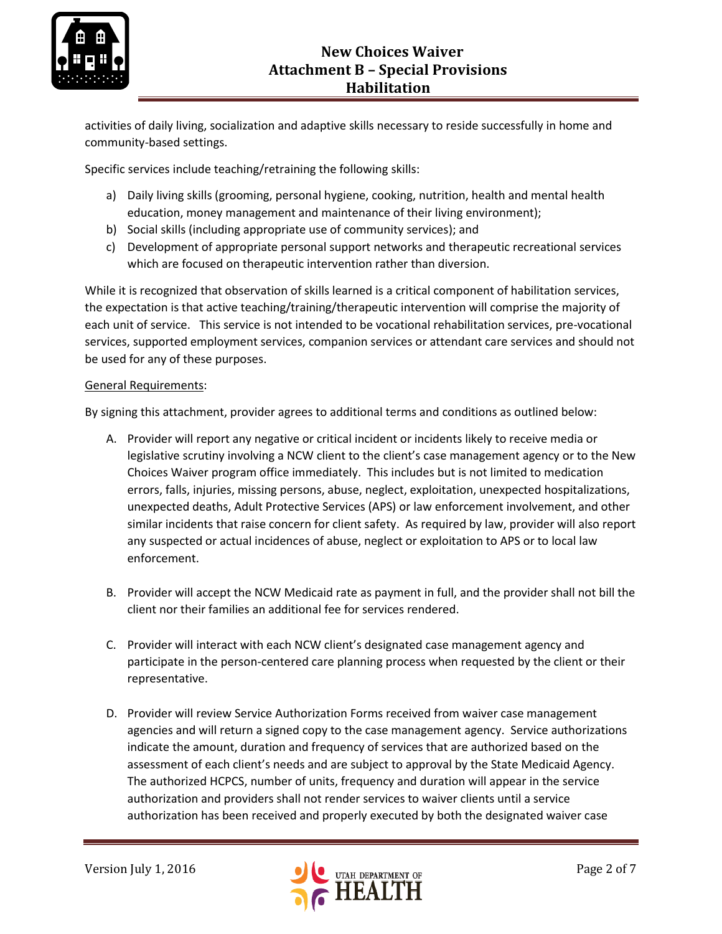

activities of daily living, socialization and adaptive skills necessary to reside successfully in home and community-based settings.

Specific services include teaching/retraining the following skills:

- a) Daily living skills (grooming, personal hygiene, cooking, nutrition, health and mental health education, money management and maintenance of their living environment);
- b) Social skills (including appropriate use of community services); and
- c) Development of appropriate personal support networks and therapeutic recreational services which are focused on therapeutic intervention rather than diversion.

While it is recognized that observation of skills learned is a critical component of habilitation services, the expectation is that active teaching/training/therapeutic intervention will comprise the majority of each unit of service. This service is not intended to be vocational rehabilitation services, pre-vocational services, supported employment services, companion services or attendant care services and should not be used for any of these purposes.

#### General Requirements:

By signing this attachment, provider agrees to additional terms and conditions as outlined below:

- A. Provider will report any negative or critical incident or incidents likely to receive media or legislative scrutiny involving a NCW client to the client's case management agency or to the New Choices Waiver program office immediately. This includes but is not limited to medication errors, falls, injuries, missing persons, abuse, neglect, exploitation, unexpected hospitalizations, unexpected deaths, Adult Protective Services (APS) or law enforcement involvement, and other similar incidents that raise concern for client safety. As required by law, provider will also report any suspected or actual incidences of abuse, neglect or exploitation to APS or to local law enforcement.
- B. Provider will accept the NCW Medicaid rate as payment in full, and the provider shall not bill the client nor their families an additional fee for services rendered.
- C. Provider will interact with each NCW client's designated case management agency and participate in the person-centered care planning process when requested by the client or their representative.
- D. Provider will review Service Authorization Forms received from waiver case management agencies and will return a signed copy to the case management agency. Service authorizations indicate the amount, duration and frequency of services that are authorized based on the assessment of each client's needs and are subject to approval by the State Medicaid Agency. The authorized HCPCS, number of units, frequency and duration will appear in the service authorization and providers shall not render services to waiver clients until a service authorization has been received and properly executed by both the designated waiver case

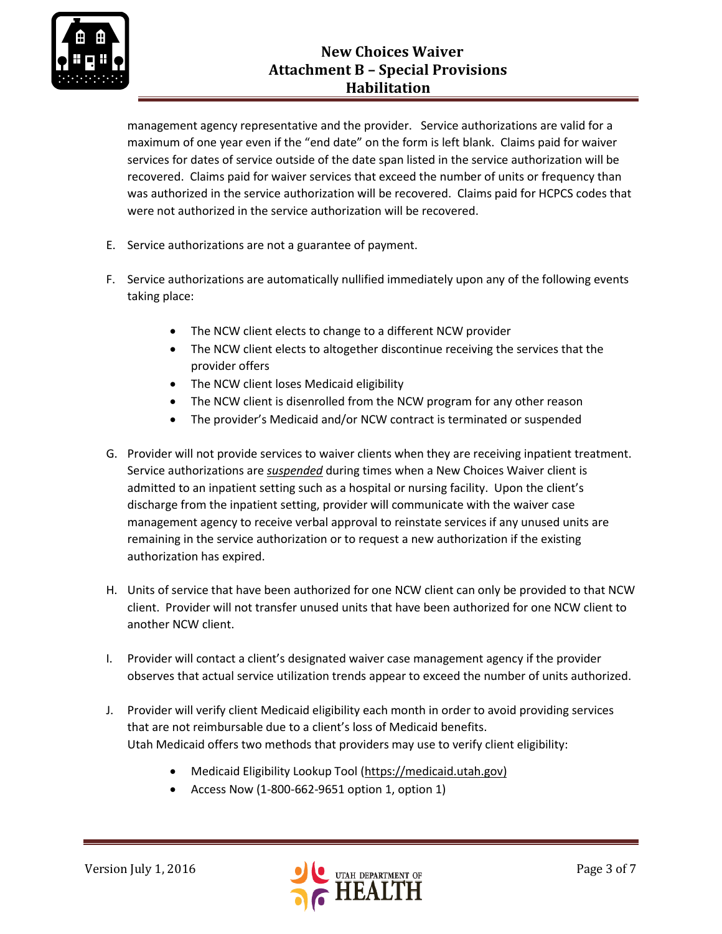

# **New Choices Waiver Attachment B – Special Provisions Habilitation**

management agency representative and the provider. Service authorizations are valid for a maximum of one year even if the "end date" on the form is left blank. Claims paid for waiver services for dates of service outside of the date span listed in the service authorization will be recovered. Claims paid for waiver services that exceed the number of units or frequency than was authorized in the service authorization will be recovered. Claims paid for HCPCS codes that were not authorized in the service authorization will be recovered.

- E. Service authorizations are not a guarantee of payment.
- F. Service authorizations are automatically nullified immediately upon any of the following events taking place:
	- The NCW client elects to change to a different NCW provider
	- The NCW client elects to altogether discontinue receiving the services that the provider offers
	- The NCW client loses Medicaid eligibility
	- The NCW client is disenrolled from the NCW program for any other reason
	- The provider's Medicaid and/or NCW contract is terminated or suspended
- G. Provider will not provide services to waiver clients when they are receiving inpatient treatment. Service authorizations are *suspended* during times when a New Choices Waiver client is admitted to an inpatient setting such as a hospital or nursing facility. Upon the client's discharge from the inpatient setting, provider will communicate with the waiver case management agency to receive verbal approval to reinstate services if any unused units are remaining in the service authorization or to request a new authorization if the existing authorization has expired.
- H. Units of service that have been authorized for one NCW client can only be provided to that NCW client. Provider will not transfer unused units that have been authorized for one NCW client to another NCW client.
- I. Provider will contact a client's designated waiver case management agency if the provider observes that actual service utilization trends appear to exceed the number of units authorized.
- J. Provider will verify client Medicaid eligibility each month in order to avoid providing services that are not reimbursable due to a client's loss of Medicaid benefits. Utah Medicaid offers two methods that providers may use to verify client eligibility:
	- Medicaid Eligibility Lookup Tool [\(https://medicaid.utah.gov\)](https://medicaid.utah.gov/)
	- Access Now (1-800-662-9651 option 1, option 1)

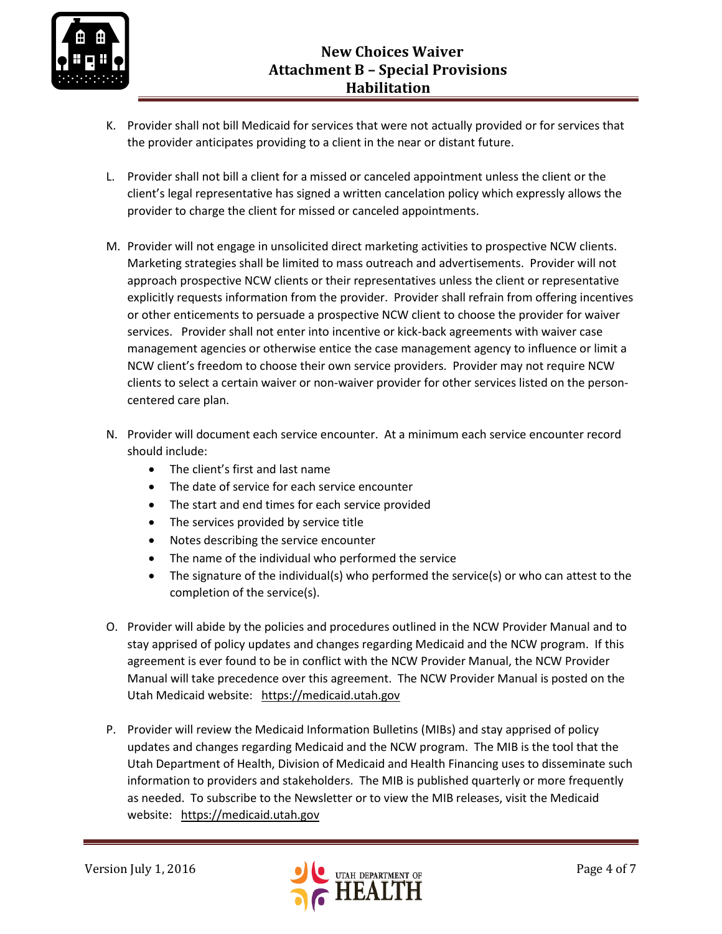

- K. Provider shall not bill Medicaid for services that were not actually provided or for services that the provider anticipates providing to a client in the near or distant future.
- L. Provider shall not bill a client for a missed or canceled appointment unless the client or the client's legal representative has signed a written cancelation policy which expressly allows the provider to charge the client for missed or canceled appointments.
- M. Provider will not engage in unsolicited direct marketing activities to prospective NCW clients. Marketing strategies shall be limited to mass outreach and advertisements. Provider will not approach prospective NCW clients or their representatives unless the client or representative explicitly requests information from the provider. Provider shall refrain from offering incentives or other enticements to persuade a prospective NCW client to choose the provider for waiver services. Provider shall not enter into incentive or kick-back agreements with waiver case management agencies or otherwise entice the case management agency to influence or limit a NCW client's freedom to choose their own service providers. Provider may not require NCW clients to select a certain waiver or non-waiver provider for other services listed on the personcentered care plan.
- N. Provider will document each service encounter. At a minimum each service encounter record should include:
	- The client's first and last name
	- The date of service for each service encounter
	- The start and end times for each service provided
	- The services provided by service title
	- Notes describing the service encounter
	- The name of the individual who performed the service
	- The signature of the individual(s) who performed the service(s) or who can attest to the completion of the service(s).
- O. Provider will abide by the policies and procedures outlined in the NCW Provider Manual and to stay apprised of policy updates and changes regarding Medicaid and the NCW program. If this agreement is ever found to be in conflict with the NCW Provider Manual, the NCW Provider Manual will take precedence over this agreement. The NCW Provider Manual is posted on the Utah Medicaid website: [https://medicaid.utah.gov](https://medicaid.utah.gov/)
- P. Provider will review the Medicaid Information Bulletins (MIBs) and stay apprised of policy updates and changes regarding Medicaid and the NCW program. The MIB is the tool that the Utah Department of Health, Division of Medicaid and Health Financing uses to disseminate such information to providers and stakeholders. The MIB is published quarterly or more frequently as needed. To subscribe to the Newsletter or to view the MIB releases, visit the Medicaid website: [https://medicaid.utah.gov](https://medicaid.utah.gov/)

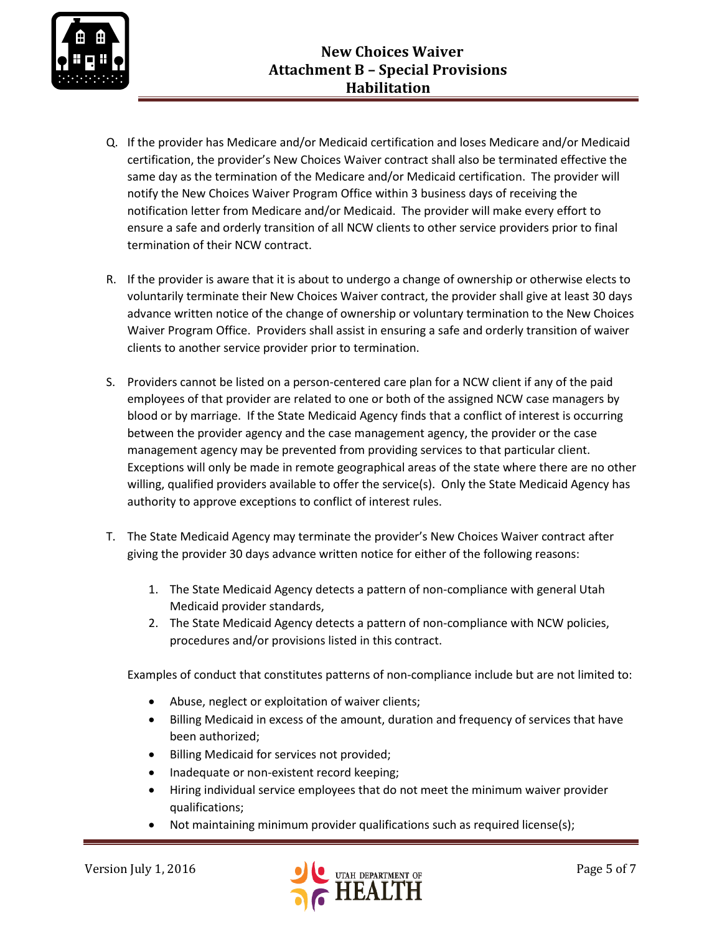

- Q. If the provider has Medicare and/or Medicaid certification and loses Medicare and/or Medicaid certification, the provider's New Choices Waiver contract shall also be terminated effective the same day as the termination of the Medicare and/or Medicaid certification. The provider will notify the New Choices Waiver Program Office within 3 business days of receiving the notification letter from Medicare and/or Medicaid. The provider will make every effort to ensure a safe and orderly transition of all NCW clients to other service providers prior to final termination of their NCW contract.
- R. If the provider is aware that it is about to undergo a change of ownership or otherwise elects to voluntarily terminate their New Choices Waiver contract, the provider shall give at least 30 days advance written notice of the change of ownership or voluntary termination to the New Choices Waiver Program Office. Providers shall assist in ensuring a safe and orderly transition of waiver clients to another service provider prior to termination.
- S. Providers cannot be listed on a person-centered care plan for a NCW client if any of the paid employees of that provider are related to one or both of the assigned NCW case managers by blood or by marriage. If the State Medicaid Agency finds that a conflict of interest is occurring between the provider agency and the case management agency, the provider or the case management agency may be prevented from providing services to that particular client. Exceptions will only be made in remote geographical areas of the state where there are no other willing, qualified providers available to offer the service(s). Only the State Medicaid Agency has authority to approve exceptions to conflict of interest rules.
- T. The State Medicaid Agency may terminate the provider's New Choices Waiver contract after giving the provider 30 days advance written notice for either of the following reasons:
	- 1. The State Medicaid Agency detects a pattern of non-compliance with general Utah Medicaid provider standards,
	- 2. The State Medicaid Agency detects a pattern of non-compliance with NCW policies, procedures and/or provisions listed in this contract.

Examples of conduct that constitutes patterns of non-compliance include but are not limited to:

- Abuse, neglect or exploitation of waiver clients;
- Billing Medicaid in excess of the amount, duration and frequency of services that have been authorized;
- Billing Medicaid for services not provided;
- Inadequate or non-existent record keeping;
- Hiring individual service employees that do not meet the minimum waiver provider qualifications;
- Not maintaining minimum provider qualifications such as required license(s);

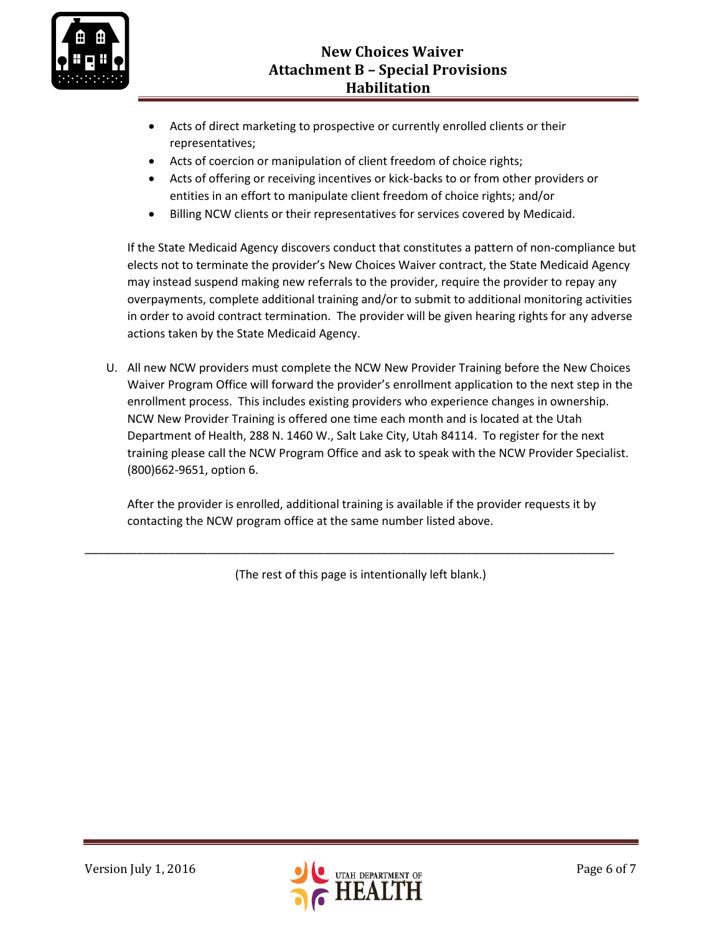

- Acts of direct marketing to prospective or currently enrolled clients or their representatives;
- Acts of coercion or manipulation of client freedom of choice rights;
- Acts of offering or receiving incentives or kick-backs to or from other providers or entities in an effort to manipulate client freedom of choice rights; and/or
- Billing NCW clients or their representatives for services covered by Medicaid.

If the State Medicaid Agency discovers conduct that constitutes a pattern of non-compliance but elects not to terminate the provider's New Choices Waiver contract, the State Medicaid Agency may instead suspend making new referrals to the provider, require the provider to repay any overpayments, complete additional training and/or to submit to additional monitoring activities in order to avoid contract termination. The provider will be given hearing rights for any adverse actions taken by the State Medicaid Agency.

U. All new NCW providers must complete the NCW New Provider Training before the New Choices Waiver Program Office will forward the provider's enrollment application to the next step in the enrollment process. This includes existing providers who experience changes in ownership. NCW New Provider Training is offered one time each month and is located at the Utah Department of Health, 288 N. 1460 W., Salt Lake City, Utah 84114. To register for the next training please call the NCW Program Office and ask to speak with the NCW Provider Specialist. (800)662-9651, option 6.

After the provider is enrolled, additional training is available if the provider requests it by contacting the NCW program office at the same number listed above.

(The rest of this page is intentionally left blank.)

\_\_\_\_\_\_\_\_\_\_\_\_\_\_\_\_\_\_\_\_\_\_\_\_\_\_\_\_\_\_\_\_\_\_\_\_\_\_\_\_\_\_\_\_\_\_\_\_\_\_\_\_\_\_\_\_\_\_\_\_\_\_\_\_\_\_\_\_\_\_\_\_\_\_\_\_\_\_\_\_\_\_